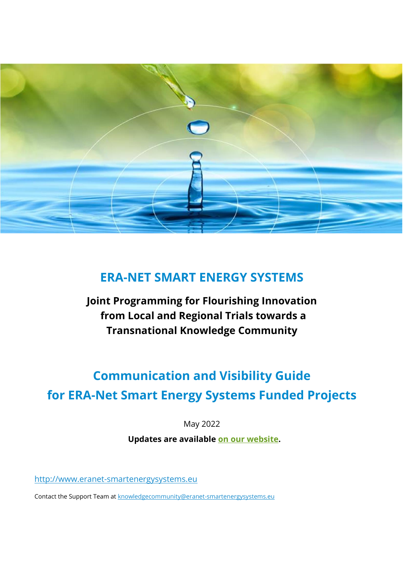

## **ERA-NET SMART ENERGY SYSTEMS**

**Joint Programming for Flourishing Innovation from Local and Regional Trials towards a Transnational Knowledge Community**

# **Communication and Visibility Guide for ERA-Net Smart Energy Systems Funded Projects**

May 2022

**Updates are available [on our website.](https://eranet-smartenergysystems.eu/Service/Downloads_for_Funded_Projects)** 

[http://www.eranet-smartenergysystems.eu](http://www.eranet-smartenergysystems.eu/)

Contact the Support Team at [knowledgecommunity@eranet-smartenergysystems.eu](mailto:knowledgecommunity@eranet-smartenergysystems.eu)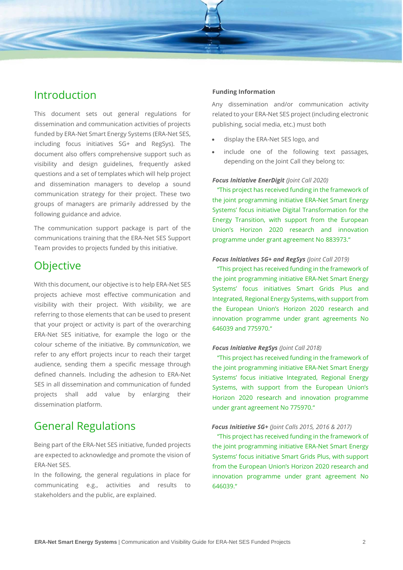

This document sets out general regulations for dissemination and communication activities of projects funded by ERA-Net Smart Energy Systems (ERA-Net SES, including focus initiatives SG+ and RegSys). The document also offers comprehensive support such as visibility and design guidelines, frequently asked questions and a set of templates which will help project and dissemination managers to develop a sound communication strategy for their project. These two groups of managers are primarily addressed by the following guidance and advice.

The communication support package is part of the communications training that the ERA-Net SES Support Team provides to projects funded by this initiative.

## **Objective**

With this document, our objective is to help ERA-Net SES projects achieve most effective communication and visibility with their project. With *visibility*, we are referring to those elements that can be used to present that your project or activity is part of the overarching ERA-Net SES initiative, for example the logo or the colour scheme of the initiative. By *communication*, we refer to any effort projects incur to reach their target audience, sending them a specific message through defined channels. Including the adhesion to ERA-Net SES in all dissemination and communication of funded projects shall add value by enlarging their dissemination platform.

## General Regulations

Being part of the ERA-Net SES initiative, funded projects are expected to acknowledge and promote the vision of ERA-Net SES.

In the following, the general regulations in place for communicating e.g., activities and results to stakeholders and the public, are explained.

### **Funding Information**

Any dissemination and/or communication activity related to your ERA-Net SES project (including electronic publishing, social media, etc.) must both

- display the ERA-Net SES logo, and
- include one of the following text passages, depending on the Joint Call they belong to:

#### *Focus Initiative EnerDigit (Joint Call 2020)*

"This project has received funding in the framework of the joint programming initiative ERA-Net Smart Energy Systems' focus initiative Digital Transformation for the Energy Transition, with support from the European Union's Horizon 2020 research and innovation programme under grant agreement No 883973."

#### *Focus Initiatives SG+ and RegSys (Joint Call 2019)*

"This project has received funding in the framework of the joint programming initiative ERA-Net Smart Energy Systems' focus initiatives Smart Grids Plus and Integrated, Regional Energy Systems, with support from the European Union's Horizon 2020 research and innovation programme under grant agreements No 646039 and 775970."

#### *Focus Initiative RegSys (Joint Call 2018)*

"This project has received funding in the framework of the joint programming initiative ERA-Net Smart Energy Systems' focus initiative Integrated, Regional Energy Systems, with support from the European Union's Horizon 2020 research and innovation programme under grant agreement No 775970."

#### *Focus Initiative SG+ (Joint Calls 2015, 2016 & 2017)*

"This project has received funding in the framework of the joint programming initiative ERA-Net Smart Energy Systems' focus initiative Smart Grids Plus, with support from the European Union's Horizon 2020 research and innovation programme under grant agreement No 646039."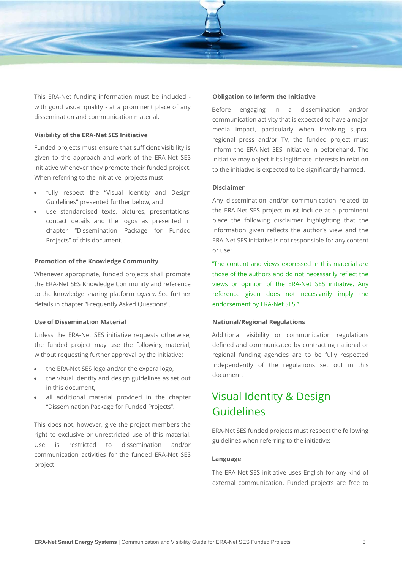

This ERA-Net funding information must be included with good visual quality - at a prominent place of any dissemination and communication material.

## **Visibility of the ERA-Net SES Initiative**

Funded projects must ensure that sufficient visibility is given to the approach and work of the ERA-Net SES initiative whenever they promote their funded project. When referring to the initiative, projects must

- fully respect the "Visual Identity and Design Guidelines" presented further below, and
- use standardised texts, pictures, presentations, contact details and the logos as presented in chapter "Dissemination Package for Funded Projects" of this document.

#### **Promotion of the Knowledge Community**

Whenever appropriate, funded projects shall promote the ERA-Net SES Knowledge Community and reference to the knowledge sharing platform *expera*. See further details in chapter "Frequently Asked Questions".

## **Use of Dissemination Material**

Unless the ERA-Net SES initiative requests otherwise, the funded project may use the following material, without requesting further approval by the initiative:

- the ERA-Net SES logo and/or the expera logo,
- the visual identity and design guidelines as set out in this document,
- all additional material provided in the chapter "Dissemination Package for Funded Projects".

This does not, however, give the project members the right to exclusive or unrestricted use of this material. Use is restricted to dissemination and/or communication activities for the funded ERA-Net SES project.

#### **Obligation to Inform the Initiative**

Before engaging in a dissemination and/or communication activity that is expected to have a major media impact, particularly when involving supraregional press and/or TV, the funded project must inform the ERA-Net SES initiative in beforehand. The initiative may object if its legitimate interests in relation to the initiative is expected to be significantly harmed.

#### **Disclaimer**

Any dissemination and/or communication related to the ERA-Net SES project must include at a prominent place the following disclaimer highlighting that the information given reflects the author's view and the ERA-Net SES initiative is not responsible for any content or use:

"The content and views expressed in this material are those of the authors and do not necessarily reflect the views or opinion of the ERA-Net SES initiative. Any reference given does not necessarily imply the endorsement by ERA-Net SES."

### **National/Regional Regulations**

Additional visibility or communication regulations defined and communicated by contracting national or regional funding agencies are to be fully respected independently of the regulations set out in this document.

## Visual Identity & Design Guidelines

ERA-Net SES funded projects must respect the following guidelines when referring to the initiative:

#### **Language**

The ERA-Net SES initiative uses English for any kind of external communication. Funded projects are free to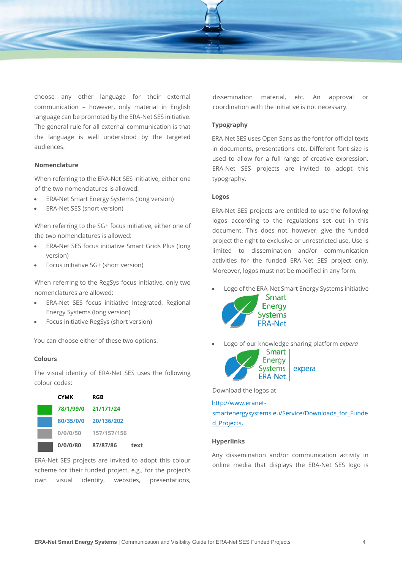

choose any other language for their external communication – however, only material in English language can be promoted by the ERA-Net SES initiative. The general rule for all external communication is that the language is well understood by the targeted audiences.

### **Nomenclature**

When referring to the ERA-Net SES initiative, either one of the two nomenclatures is allowed:

- ERA-Net Smart Energy Systems (long version)
- ERA-Net SES (short version)

When referring to the SG+ focus initiative, either one of the two nomenclatures is allowed:

- ERA-Net SES focus initiative Smart Grids Plus (long version)
- Focus initiative SG+ (short version)

When referring to the RegSys focus initiative, only two nomenclatures are allowed:

- ERA-Net SES focus initiative Integrated, Regional Energy Systems (long version)
- Focus initiative RegSys (short version)

You can choose either of these two options.

### **Colours**

The visual identity of ERA-Net SES uses the following colour codes:

| <b>CYMK</b> | RGB                  |      |
|-------------|----------------------|------|
| 78/1/99/0   | 21/171/24            |      |
|             | 80/35/0/0 20/136/202 |      |
| 0/0/0/50    | 157/157/156          |      |
| 0/0/0/80    | 87/87/86             | text |

ERA-Net SES projects are invited to adopt this colour scheme for their funded project, e.g., for the project's own visual identity, websites, presentations,

dissemination material, etc. An approval or coordination with the initiative is not necessary.

### **Typography**

ERA-Net SES uses Open Sans as the font for official texts in documents, presentations etc. Different font size is used to allow for a full range of creative expression. ERA-Net SES projects are invited to adopt this typography.

### **Logos**

ERA-Net SES projects are entitled to use the following logos according to the regulations set out in this document. This does not, however, give the funded project the right to exclusive or unrestricted use. Use is limited to dissemination and/or communication activities for the funded ERA-Net SES project only. Moreover, logos must not be modified in any form.

• Logo of the ERA-Net Smart Energy Systems initiative



• Logo of our knowledge sharing platform *expera*



Download the logos at

[http://www.eranet](http://www.eranet-smartenergysystems.eu/Service/Downloads_for_Funded_Projects)[smartenergysystems.eu/Service/Downloads\\_for\\_Funde](http://www.eranet-smartenergysystems.eu/Service/Downloads_for_Funded_Projects) [d\\_Projects](http://www.eranet-smartenergysystems.eu/Service/Downloads_for_Funded_Projects)[.](http://www.eranet-smartgridsplus.eu/downloads/downloads-for-funded-projects/)

### **Hyperlinks**

Any dissemination and/or communication activity in online media that displays the ERA-Net SES logo is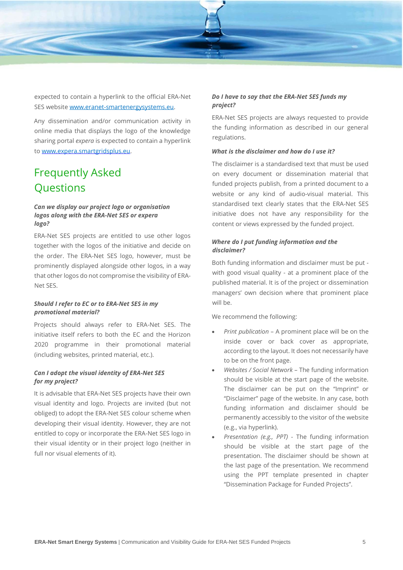

expected to contain a hyperlink to the official ERA-Net SES websit[e www.eranet-smartenergysystems.eu](http://www.eranet-smartenergysystems.eu/)[.](http://www.eranet-smartgridsplus.eu/)

Any dissemination and/or communication activity in online media that displays the logo of the knowledge sharing portal *expera* is expected to contain a hyperlink to [www.expera.smartgridsplus.eu.](http://www.expera.smartgridsplus.eu/)

## Frequently Asked **Ouestions**

## *Can we display our project logo or organisation logos along with the ERA-Net SES or expera logo?*

ERA-Net SES projects are entitled to use other logos together with the logos of the initiative and decide on the order. The ERA-Net SES logo, however, must be prominently displayed alongside other logos, in a way that other logos do not compromise the visibility of ERA-Net SES.

## *Should I refer to EC or to ERA-Net SES in my promotional material?*

Projects should always refer to ERA-Net SES. The initiative itself refers to both the EC and the Horizon 2020 programme in their promotional material (including websites, printed material, etc.).

## *Can I adopt the visual identity of ERA-Net SES for my project?*

It is advisable that ERA-Net SES projects have their own visual identity and logo. Projects are invited (but not obliged) to adopt the ERA-Net SES colour scheme when developing their visual identity. However, they are not entitled to copy or incorporate the ERA-Net SES logo in their visual identity or in their project logo (neither in full nor visual elements of it).

## *Do I have to say that the ERA-Net SES funds my project?*

ERA-Net SES projects are always requested to provide the funding information as described in our general regulations.

## *What is the disclaimer and how do I use it?*

The disclaimer is a standardised text that must be used on every document or dissemination material that funded projects publish, from a printed document to a website or any kind of audio-visual material. This standardised text clearly states that the ERA-Net SES initiative does not have any responsibility for the content or views expressed by the funded project.

## *Where do I put funding information and the disclaimer?*

Both funding information and disclaimer must be put with good visual quality - at a prominent place of the published material. It is of the project or dissemination managers' own decision where that prominent place will be.

We recommend the following:

- *Print publication* A prominent place will be on the inside cover or back cover as appropriate, according to the layout. It does not necessarily have to be on the front page.
- *Websites / Social Network* The funding information should be visible at the start page of the website. The disclaimer can be put on the "Imprint" or "Disclaimer" page of the website. In any case, both funding information and disclaimer should be permanently accessibly to the visitor of the website (e.g., via hyperlink).
- *Presentation (e.g., PPT)* The funding information should be visible at the start page of the presentation. The disclaimer should be shown at the last page of the presentation. We recommend using the PPT template presented in chapter "Dissemination Package for Funded Projects".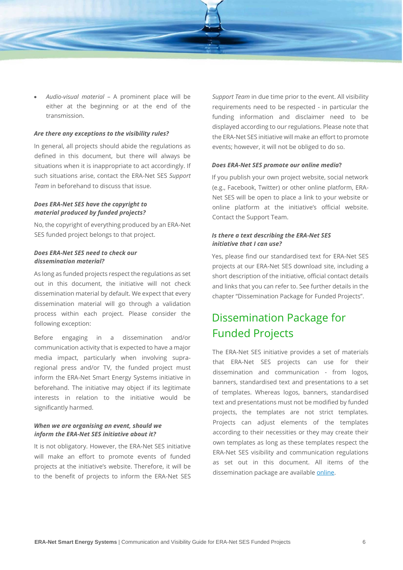

• *Audio-visual material* – A prominent place will be either at the beginning or at the end of the transmission.

## *Are there any exceptions to the visibility rules?*

In general, all projects should abide the regulations as defined in this document, but there will always be situations when it is inappropriate to act accordingly. If such situations arise, contact the ERA-Net SES *Support Team* in beforehand to discuss that issue.

## *Does ERA-Net SES have the copyright to material produced by funded projects?*

No, the copyright of everything produced by an ERA-Net SES funded project belongs to that project.

### *Does ERA-Net SES need to check our dissemination material?*

As long as funded projects respect the regulations as set out in this document, the initiative will not check dissemination material by default. We expect that every dissemination material will go through a validation process within each project. Please consider the following exception:

Before engaging in a dissemination and/or communication activity that is expected to have a major media impact, particularly when involving supraregional press and/or TV, the funded project must inform the ERA-Net Smart Energy Systems initiative in beforehand. The initiative may object if its legitimate interests in relation to the initiative would be significantly harmed.

## *When we are organising an event, should we inform the ERA-Net SES initiative about it?*

It is not obligatory. However, the ERA-Net SES initiative will make an effort to promote events of funded projects at the initiative's website. Therefore, it will be to the benefit of projects to inform the ERA-Net SES *Support Team* in due time prior to the event. All visibility requirements need to be respected - in particular the funding information and disclaimer need to be displayed according to our regulations. Please note that the ERA-Net SES initiative will make an effort to promote events; however, it will not be obliged to do so.

#### *Does ERA-Net SES promote our online media***?**

If you publish your own project website, social network (e.g., Facebook, Twitter) or other online platform, ERA-Net SES will be open to place a link to your website or online platform at the initiative's official website. Contact the Support Team.

## *Is there a text describing the ERA-Net SES initiative that I can use?*

Yes, please find our standardised text for ERA-Net SES projects at our ERA-Net SES download site, including a short description of the initiative, official contact details and links that you can refer to. See further details in the chapter "Dissemination Package for Funded Projects".

## Dissemination Package for Funded Projects

The ERA-Net SES initiative provides a set of materials that ERA-Net SES projects can use for their dissemination and communication - from logos, banners, standardised text and presentations to a set of templates. Whereas logos, banners, standardised text and presentations must not be modified by funded projects, the templates are not strict templates. Projects can adjust elements of the templates according to their necessities or they may create their own templates as long as these templates respect the ERA-Net SES visibility and communication regulations as set out in this document. All items of the dissemination package are available [online.](http://www.eranet-smartenergysystems.eu/Service/Downloads_for_Funded_Projects)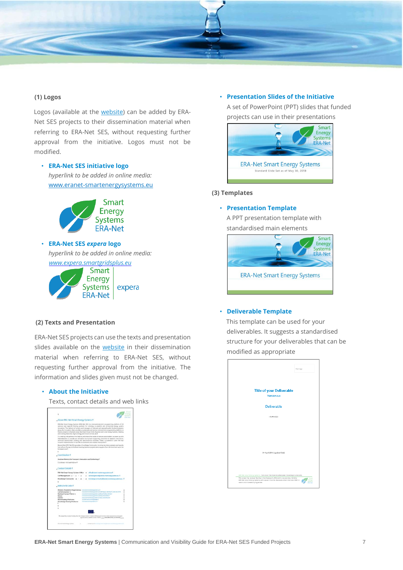

## **(1) Logos**

Logos (available at the [website\)](http://www.eranet-smartenergysystems.eu/Service/Downloads_for_Funded_Projects) can be added by ERA-Net SES projects to their dissemination material when referring to ERA-Net SES, without requesting further approval from the initiative. Logos must not be modified.

## • **ERA-Net SES [in](http://www.eranet-smartgridsplus.eu/fileadmin/user_upload/Downloads/SmartGridsPlus_rgb.jpg)itiative logo** *hyperlink to be added in online media:* [www.eranet-smartenergysystems.eu](http://www.eranet-smartenergysystems.eu/)



• **ERA-Net SES** *[ex](http://www.eranet-smartgridsplus.eu/fileadmin/user_upload/Downloads/SmartGridsPlus_rgb.jpg)pera* **log[o](http://www.eranet-smartgridsplus.eu/fileadmin/user_upload/Downloads/SmartGridsPlus_rgb.jpg)** *hyperlink to be added in online media: [www.expera.smartgridsplus.eu](http://www.expera.smartgridsplus.eu/)* Smart



### **(2) Texts and Presentation**

ERA-Net SES projects can use the texts and presentation slides available on the [website](http://www.eranet-smartenergysystems.eu/Service/Downloads_for_Funded_Projects) in their dissemination material when referring to ERA-Net SES, without requesting further approval from the initiative. The information and slides given must not be changed.

#### • **[About the Initiative](http://www.eranet-smartgridsplus.eu/fileadmin/user_upload/Downloads/FundedProjects/ERANetSmartGridsPlus_About.pdf)**

Texts, contact details and web links

| ×                                                                                               |                                                                                                                                                                                                                                                                                                                                                                                                                                                                                                                         | <b>Willeton</b><br><b>SULNet</b> |
|-------------------------------------------------------------------------------------------------|-------------------------------------------------------------------------------------------------------------------------------------------------------------------------------------------------------------------------------------------------------------------------------------------------------------------------------------------------------------------------------------------------------------------------------------------------------------------------------------------------------------------------|----------------------------------|
| . About-ERA-Net-Smart-Energy-Systems-T                                                          |                                                                                                                                                                                                                                                                                                                                                                                                                                                                                                                         |                                  |
| and Cooling Natworks, Digital Energy and Smart Services, etc.f.                                 | EEA-Net-Smart Energy-Systems (EEA-Net-SES) is a transnational joint-programming-platform-of-30<br>national and regional funding partners for initiating co-creation and promoting energy protein<br>Innocation. The naturals of gwners and managers of national and regional qubilic funding grograms.<br>along the innovation chain provides a sustainable and senice oriented joint programming platform to<br>finance projects in thematic areas like Smart Power Grids, Regional and Local Energy Systems, Heating. |                                  |
| towards implementation in real-life environments and market introduction.T                      | Co-creating with gartners stat halp to understand the needs of relevant stakeholders, we team up with<br>intermadiates to provide an innovation eco-system supporting consortia for research, innovation,<br>sichnical development piloting and demonstration activities. These co-operations paye the way-                                                                                                                                                                                                             |                                  |
| Formese Jewit                                                                                   | Beyond-that, ERA-Net-SES provides a Knowledge Community, involving lary-demo-projects and axperts<br>from all-over-furope, to facilitate learning between projects and programs from the local level up to the                                                                                                                                                                                                                                                                                                          |                                  |
|                                                                                                 |                                                                                                                                                                                                                                                                                                                                                                                                                                                                                                                         |                                  |
| Coordination-1                                                                                  |                                                                                                                                                                                                                                                                                                                                                                                                                                                                                                                         |                                  |
| Austrian Ministry for Transport, Innovation and Technology 1.                                   |                                                                                                                                                                                                                                                                                                                                                                                                                                                                                                                         |                                  |
| Coordinator: Michael Hübner 1                                                                   |                                                                                                                                                                                                                                                                                                                                                                                                                                                                                                                         |                                  |
| Contact-Details-1<br>ERA-Net-Smart-Energy-Systems-Office - office Euranet-orgaterassystems.au 5 |                                                                                                                                                                                                                                                                                                                                                                                                                                                                                                                         |                                  |
| Call Management -+ -                                                                            | calmanscentert@ennet-amatement.com/enn.es-1                                                                                                                                                                                                                                                                                                                                                                                                                                                                             |                                  |
| Exowledge Community - a - - a - - -                                                             | knowledgecommunity@eranet-omartenergycystems.ig-1                                                                                                                                                                                                                                                                                                                                                                                                                                                                       |                                  |
|                                                                                                 |                                                                                                                                                                                                                                                                                                                                                                                                                                                                                                                         |                                  |
| Website-&-Links-f                                                                               |                                                                                                                                                                                                                                                                                                                                                                                                                                                                                                                         |                                  |
| Website, Newsletter Registrations www.com motoregaycare.com                                     |                                                                                                                                                                                                                                                                                                                                                                                                                                                                                                                         | ×                                |
| Call-Information-w<br>National Contact Points-4                                                 | www.annexistenergeptums.au/Lafa/TagayLCafa/Tag5VSL34HLCafL3V38+<br>www.ananat.org/terransforma.au/Masul/Section.formasce.                                                                                                                                                                                                                                                                                                                                                                                               | ×<br>٠                           |
| <b>Nimariw</b>                                                                                  | www.anana organizman.com/and-basic_bent.change-                                                                                                                                                                                                                                                                                                                                                                                                                                                                         | ×                                |
| Exercise                                                                                        | www.assnari.programmagicustoma.np/nows.liventyTowitzm                                                                                                                                                                                                                                                                                                                                                                                                                                                                   | ٠                                |
| <b>Matchmaking-Platforms</b>                                                                    | state himself auf einertgetigkein                                                                                                                                                                                                                                                                                                                                                                                                                                                                                       | ×                                |
| Knowledge Sharing Platforms                                                                     | this company in the age of                                                                                                                                                                                                                                                                                                                                                                                                                                                                                              | ×                                |
| ٠                                                                                               |                                                                                                                                                                                                                                                                                                                                                                                                                                                                                                                         |                                  |
|                                                                                                 |                                                                                                                                                                                                                                                                                                                                                                                                                                                                                                                         |                                  |
|                                                                                                 |                                                                                                                                                                                                                                                                                                                                                                                                                                                                                                                         |                                  |
|                                                                                                 | This project has received funding from the European Union's Floridan 2020 research and innovation programme under gram.<br>agreements his 646039 and his 779975 yields. Rechniftsiedheil (Fortlevtind) yours.                                                                                                                                                                                                                                                                                                           |                                  |
| <b>EtA-Net Sevel Alway Tychers</b>                                                              | content and transfer to the form of the con-                                                                                                                                                                                                                                                                                                                                                                                                                                                                            |                                  |

#### • **[Presentation](http://www.eranet-smartgridsplus.eu/fileadmin/user_upload/Downloads/FundedProjects/ERANetSmartGridsPlus_StandardPresentationInitiative.pptx) [Slides](http://www.eranet-smartgridsplus.eu/fileadmin/user_upload/Downloads/FundedProjects/ERANetSmartGridsPlus_StandardPresentationInitiative.pptx) [of the Initiative](http://www.eranet-smartgridsplus.eu/fileadmin/user_upload/Downloads/FundedProjects/ERANetSmartGridsPlus_StandardPresentationInitiative.pptx)**

A set of PowerPoint (PPT) slides that funded projects can use in their presentations



## **(3) Templates**

#### • **Presentation Template**

A PPT presentation template with standardised main elements



## • **Deliverable Template**

This template can be used for your deliverables. It suggests a standardised structure for your deliverables that can be modified as appropriate